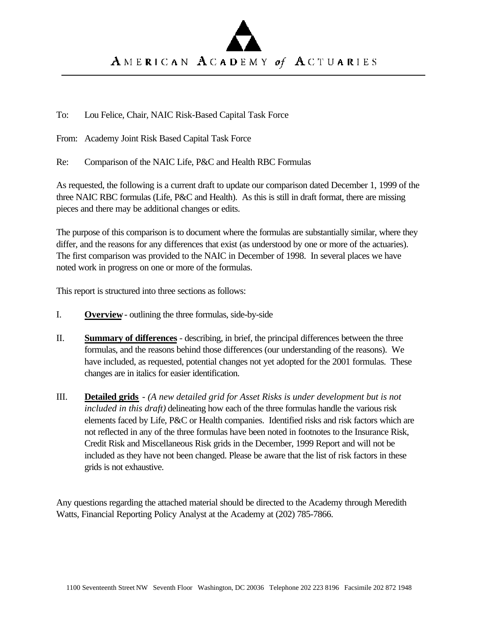# AMERICAN ACADEMY of ACTUARIES

To: Lou Felice, Chair, NAIC Risk-Based Capital Task Force

From: Academy Joint Risk Based Capital Task Force

Re: Comparison of the NAIC Life, P&C and Health RBC Formulas

As requested, the following is a current draft to update our comparison dated December 1, 1999 of the three NAIC RBC formulas (Life, P&C and Health). As this is still in draft format, there are missing pieces and there may be additional changes or edits.

The purpose of this comparison is to document where the formulas are substantially similar, where they differ, and the reasons for any differences that exist (as understood by one or more of the actuaries). The first comparison was provided to the NAIC in December of 1998. In several places we have noted work in progress on one or more of the formulas.

This report is structured into three sections as follows:

- I. **Overview** outlining the three formulas, side-by-side
- II. **Summary of differences** describing, in brief, the principal differences between the three formulas, and the reasons behind those differences (our understanding of the reasons). We have included, as requested, potential changes not yet adopted for the 2001 formulas. These changes are in italics for easier identification.
- III. **Detailed grids** *(A new detailed grid for Asset Risks is under development but is not included in this draft)* delineating how each of the three formulas handle the various risk elements faced by Life, P&C or Health companies. Identified risks and risk factors which are not reflected in any of the three formulas have been noted in footnotes to the Insurance Risk, Credit Risk and Miscellaneous Risk grids in the December, 1999 Report and will not be included as they have not been changed. Please be aware that the list of risk factors in these grids is not exhaustive.

Any questions regarding the attached material should be directed to the Academy through Meredith Watts, Financial Reporting Policy Analyst at the Academy at (202) 785-7866.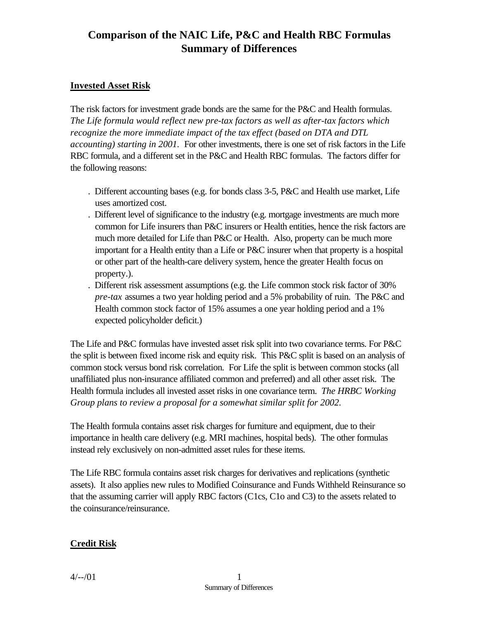### **Invested Asset Risk**

The risk factors for investment grade bonds are the same for the P&C and Health formulas. *The Life formula would reflect new pre-tax factors as well as after-tax factors which recognize the more immediate impact of the tax effect (based on DTA and DTL accounting) starting in 2001.* For other investments, there is one set of risk factors in the Life RBC formula, and a different set in the P&C and Health RBC formulas. The factors differ for the following reasons:

- . Different accounting bases (e.g. for bonds class 3-5, P&C and Health use market, Life uses amortized cost.
- . Different level of significance to the industry (e.g. mortgage investments are much more common for Life insurers than P&C insurers or Health entities, hence the risk factors are much more detailed for Life than P&C or Health. Also, property can be much more important for a Health entity than a Life or P&C insurer when that property is a hospital or other part of the health-care delivery system, hence the greater Health focus on property.).
- . Different risk assessment assumptions (e.g. the Life common stock risk factor of 30% *pre-tax* assumes a two year holding period and a 5% probability of ruin. The P&C and Health common stock factor of 15% assumes a one year holding period and a 1% expected policyholder deficit.)

The Life and P&C formulas have invested asset risk split into two covariance terms. For P&C the split is between fixed income risk and equity risk. This P&C split is based on an analysis of common stock versus bond risk correlation. For Life the split is between common stocks (all unaffiliated plus non-insurance affiliated common and preferred) and all other asset risk. The Health formula includes all invested asset risks in one covariance term. *The HRBC Working Group plans to review a proposal for a somewhat similar split for 2002.*

The Health formula contains asset risk charges for furniture and equipment, due to their importance in health care delivery (e.g. MRI machines, hospital beds). The other formulas instead rely exclusively on non-admitted asset rules for these items.

The Life RBC formula contains asset risk charges for derivatives and replications (synthetic assets). It also applies new rules to Modified Coinsurance and Funds Withheld Reinsurance so that the assuming carrier will apply RBC factors (C1cs, C1o and C3) to the assets related to the coinsurance/reinsurance.

## **Credit Risk**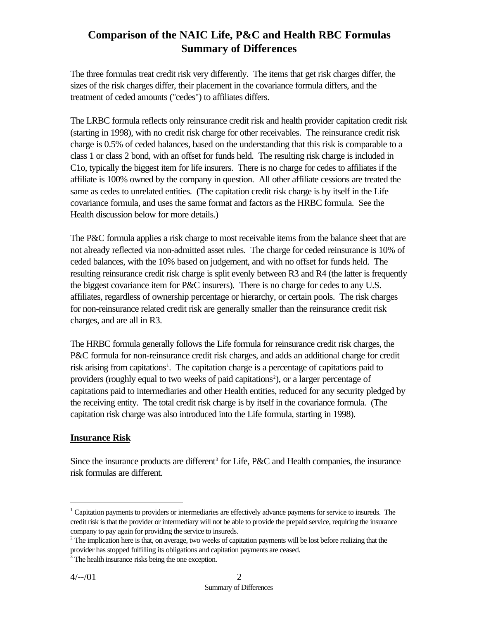The three formulas treat credit risk very differently. The items that get risk charges differ, the sizes of the risk charges differ, their placement in the covariance formula differs, and the treatment of ceded amounts ("cedes") to affiliates differs.

The LRBC formula reflects only reinsurance credit risk and health provider capitation credit risk (starting in 1998), with no credit risk charge for other receivables. The reinsurance credit risk charge is 0.5% of ceded balances, based on the understanding that this risk is comparable to a class 1 or class 2 bond, with an offset for funds held. The resulting risk charge is included in C1o, typically the biggest item for life insurers. There is no charge for cedes to affiliates if the affiliate is 100% owned by the company in question. All other affiliate cessions are treated the same as cedes to unrelated entities. (The capitation credit risk charge is by itself in the Life covariance formula, and uses the same format and factors as the HRBC formula. See the Health discussion below for more details.)

The P&C formula applies a risk charge to most receivable items from the balance sheet that are not already reflected via non-admitted asset rules. The charge for ceded reinsurance is 10% of ceded balances, with the 10% based on judgement, and with no offset for funds held. The resulting reinsurance credit risk charge is split evenly between R3 and R4 (the latter is frequently the biggest covariance item for P&C insurers). There is no charge for cedes to any U.S. affiliates, regardless of ownership percentage or hierarchy, or certain pools. The risk charges for non-reinsurance related credit risk are generally smaller than the reinsurance credit risk charges, and are all in R3.

The HRBC formula generally follows the Life formula for reinsurance credit risk charges, the P&C formula for non-reinsurance credit risk charges, and adds an additional charge for credit risk arising from capitations<sup>1</sup>. The capitation charge is a percentage of capitations paid to providers (roughly equal to two weeks of paid capitations<sup>2</sup>), or a larger percentage of capitations paid to intermediaries and other Health entities, reduced for any security pledged by the receiving entity. The total credit risk charge is by itself in the covariance formula. (The capitation risk charge was also introduced into the Life formula, starting in 1998).

## **Insurance Risk**

Since the insurance products are different<sup>3</sup> for Life, P&C and Health companies, the insurance risk formulas are different.

<sup>&</sup>lt;sup>1</sup> Capitation payments to providers or intermediaries are effectively advance payments for service to insureds. The credit risk is that the provider or intermediary will not be able to provide the prepaid service, requiring the insurance company to pay again for providing the service to insureds.

 $2^2$  The implication here is that, on average, two weeks of capitation payments will be lost before realizing that the provider has stopped fulfilling its obligations and capitation payments are ceased.

<sup>&</sup>lt;sup>3</sup> The health insurance risks being the one exception.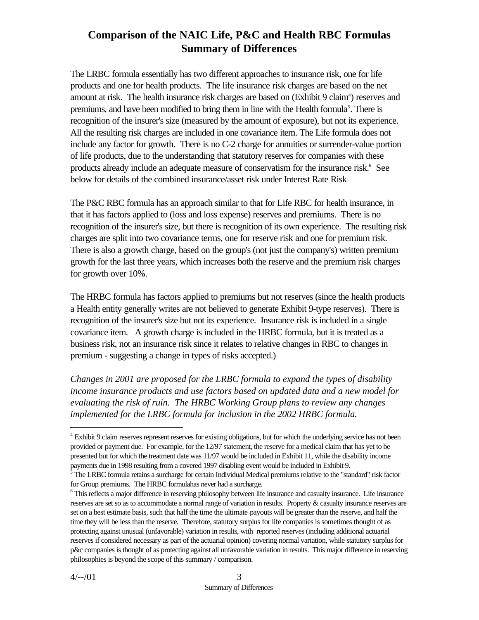The LRBC formula essentially has two different approaches to insurance risk, one for life products and one for health products. The life insurance risk charges are based on the net amount at risk. The health insurance risk charges are based on (Exhibit 9 claim<sup>4</sup>) reserves and premiums, and have been modified to bring them in line with the Health formula<sup>5</sup>. There is recognition of the insurer's size (measured by the amount of exposure), but not its experience. All the resulting risk charges are included in one covariance item. The Life formula does not include any factor for growth. There is no C-2 charge for annuities or surrender-value portion of life products, due to the understanding that statutory reserves for companies with these products already include an adequate measure of conservatism for the insurance risk.<sup>6</sup> See below for details of the combined insurance/asset risk under Interest Rate Risk

The P&C RBC formula has an approach similar to that for Life RBC for health insurance, in that it has factors applied to (loss and loss expense) reserves and premiums. There is no recognition of the insurer's size, but there is recognition of its own experience. The resulting risk charges are split into two covariance terms, one for reserve risk and one for premium risk. There is also a growth charge, based on the group's (not just the company's) written premium growth for the last three years, which increases both the reserve and the premium risk charges for growth over 10%.

The HRBC formula has factors applied to premiums but not reserves (since the health products a Health entity generally writes are not believed to generate Exhibit 9-type reserves). There is recognition of the insurer's size but not its experience. Insurance risk is included in a single covariance item. A growth charge is included in the HRBC formula, but it is treated as a business risk, not an insurance risk since it relates to relative changes in RBC to changes in premium - suggesting a change in types of risks accepted.)

*Changes in 2001 are proposed for the LRBC formula to expand the types of disability income insurance products and use factors based on updated data and a new model for evaluating the risk of ruin. The HRBC Working Group plans to review any changes implemented for the LRBC formula for inclusion in the 2002 HRBC formula.*

<sup>&</sup>lt;sup>4</sup> Exhibit 9 claim reserves represent reserves for existing obligations, but for which the underlying service has not been provided or payment due. For example, for the 12/97 statement, the reserve for a medical claim that has yet to be presented but for which the treatment date was 11/97 would be included in Exhibit 11, while the disability income payments due in 1998 resulting from a covered 1997 disabling event would be included in Exhibit 9.

<sup>&</sup>lt;sup>5</sup> The LRBC formula retains a surcharge for certain Individual Medical premiums relative to the "standard" risk factor for Group premiums. The HRBC formulahas never had a surcharge.

<sup>&</sup>lt;sup>6</sup> This reflects a major difference in reserving philosophy between life insurance and casualty insurance. Life insurance reserves are set so as to accommodate a normal range of variation in results. Property & casualty insurance reserves are set on a best estimate basis, such that half the time the ultimate payouts will be greater than the reserve, and half the time they will be less than the reserve. Therefore, statutory surplus for life companies is sometimes thought of as protecting against unusual (unfavorable) variation in results, with reported reserves (including additional actuarial reserves if considered necessary as part of the actuarial opinion) covering normal variation, while statutory surplus for p&c companies is thought of as protecting against all unfavorable variation in results. This major difference in reserving philosophies is beyond the scope of this summary / comparison.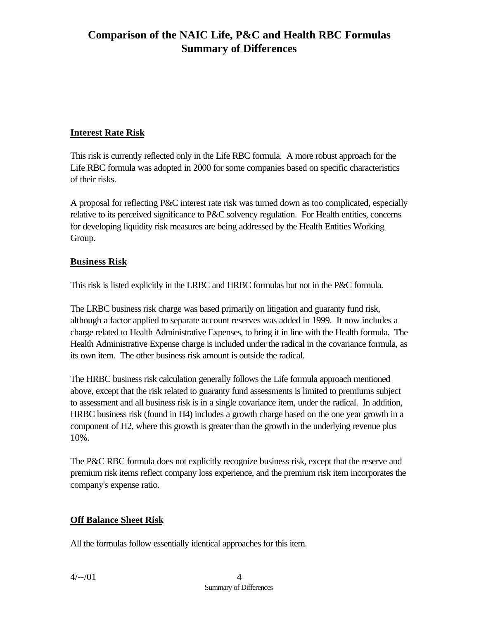## **Interest Rate Risk**

This risk is currently reflected only in the Life RBC formula. A more robust approach for the Life RBC formula was adopted in 2000 for some companies based on specific characteristics of their risks.

A proposal for reflecting P&C interest rate risk was turned down as too complicated, especially relative to its perceived significance to P&C solvency regulation. For Health entities, concerns for developing liquidity risk measures are being addressed by the Health Entities Working Group.

#### **Business Risk**

This risk is listed explicitly in the LRBC and HRBC formulas but not in the P&C formula.

The LRBC business risk charge was based primarily on litigation and guaranty fund risk, although a factor applied to separate account reserves was added in 1999. It now includes a charge related to Health Administrative Expenses, to bring it in line with the Health formula. The Health Administrative Expense charge is included under the radical in the covariance formula, as its own item. The other business risk amount is outside the radical.

The HRBC business risk calculation generally follows the Life formula approach mentioned above, except that the risk related to guaranty fund assessments is limited to premiums subject to assessment and all business risk is in a single covariance item, under the radical. In addition, HRBC business risk (found in H4) includes a growth charge based on the one year growth in a component of H2, where this growth is greater than the growth in the underlying revenue plus 10%.

The P&C RBC formula does not explicitly recognize business risk, except that the reserve and premium risk items reflect company loss experience, and the premium risk item incorporates the company's expense ratio.

#### **Off Balance Sheet Risk**

All the formulas follow essentially identical approaches for this item.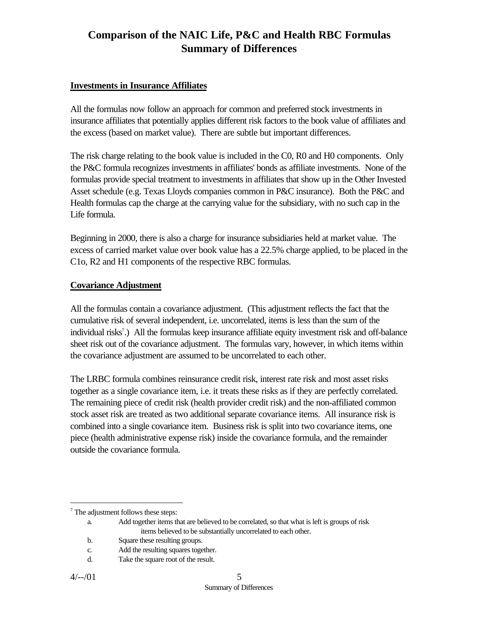#### **Investments in Insurance Affiliates**

All the formulas now follow an approach for common and preferred stock investments in insurance affiliates that potentially applies different risk factors to the book value of affiliates and the excess (based on market value). There are subtle but important differences.

The risk charge relating to the book value is included in the C0, R0 and H0 components. Only the P&C formula recognizes investments in affiliates' bonds as affiliate investments. None of the formulas provide special treatment to investments in affiliates that show up in the Other Invested Asset schedule (e.g. Texas Lloyds companies common in P&C insurance). Both the P&C and Health formulas cap the charge at the carrying value for the subsidiary, with no such cap in the Life formula.

Beginning in 2000, there is also a charge for insurance subsidiaries held at market value. The excess of carried market value over book value has a 22.5% charge applied, to be placed in the C1o, R2 and H1 components of the respective RBC formulas.

#### **Covariance Adjustment**

All the formulas contain a covariance adjustment. (This adjustment reflects the fact that the cumulative risk of several independent, i.e. uncorrelated, items is less than the sum of the individual risks<sup>7</sup>.) All the formulas keep insurance affiliate equity investment risk and off-balance sheet risk out of the covariance adjustment. The formulas vary, however, in which items within the covariance adjustment are assumed to be uncorrelated to each other.

The LRBC formula combines reinsurance credit risk, interest rate risk and most asset risks together as a single covariance item, i.e. it treats these risks as if they are perfectly correlated. The remaining piece of credit risk (health provider credit risk) and the non-affiliated common stock asset risk are treated as two additional separate covariance items. All insurance risk is combined into a single covariance item. Business risk is split into two covariance items, one piece (health administrative expense risk) inside the covariance formula, and the remainder outside the covariance formula.

b. Square these resulting groups.

 $7$  The adjustment follows these steps:

a. Add together items that are believed to be correlated, so that what is left is groups of risk items believed to be substantially uncorrelated to each other.

c. Add the resulting squares together.

d. Take the square root of the result.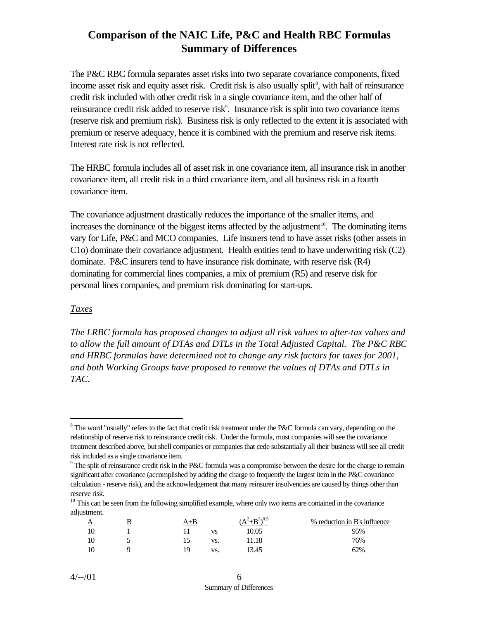The P&C RBC formula separates asset risks into two separate covariance components, fixed income asset risk and equity asset risk. Credit risk is also usually split<sup>8</sup>, with half of reinsurance credit risk included with other credit risk in a single covariance item, and the other half of reinsurance credit risk added to reserve risk<sup>9</sup>. Insurance risk is split into two covariance items (reserve risk and premium risk). Business risk is only reflected to the extent it is associated with premium or reserve adequacy, hence it is combined with the premium and reserve risk items. Interest rate risk is not reflected.

The HRBC formula includes all of asset risk in one covariance item, all insurance risk in another covariance item, all credit risk in a third covariance item, and all business risk in a fourth covariance item.

The covariance adjustment drastically reduces the importance of the smaller items, and increases the dominance of the biggest items affected by the adjustment<sup>10</sup>. The dominating items vary for Life, P&C and MCO companies. Life insurers tend to have asset risks (other assets in C1o) dominate their covariance adjustment. Health entities tend to have underwriting risk (C2) dominate. P&C insurers tend to have insurance risk dominate, with reserve risk (R4) dominating for commercial lines companies, a mix of premium (R5) and reserve risk for personal lines companies, and premium risk dominating for start-ups.

#### *Taxes*

 $\overline{a}$ 

*The LRBC formula has proposed changes to adjust all risk values to after-tax values and to allow the full amount of DTAs and DTLs in the Total Adjusted Capital. The P&C RBC and HRBC formulas have determined not to change any risk factors for taxes for 2001, and both Working Groups have proposed to remove the values of DTAs and DTLs in TAC.*

 $10$  This can be seen from the following simplified example, where only two items are contained in the covariance adjustment.

| 母 | A+B |     | $(A^2+B^2)^{0.5}$ | % reduction in B's influence |
|---|-----|-----|-------------------|------------------------------|
|   |     | VS  | 10.05             | 95%                          |
|   |     | VS. | .1.18             | 76%                          |
|   | 19  | VS. | 13.45             | 62%                          |

 $8$  The word "usually" refers to the fact that credit risk treatment under the P&C formula can vary, depending on the relationship of reserve risk to reinsurance credit risk. Under the formula, most companies will see the covariance treatment described above, but shell companies or companies that cede substantially all their business will see all credit risk included as a single covariance item.

 $9<sup>9</sup>$  The split of reinsurance credit risk in the P&C formula was a compromise between the desire for the charge to remain significant after covariance (accomplished by adding the charge to frequently the largest item in the P&C covariance calculation - reserve risk), and the acknowledgement that many reinsurer insolvencies are caused by things other than reserve risk.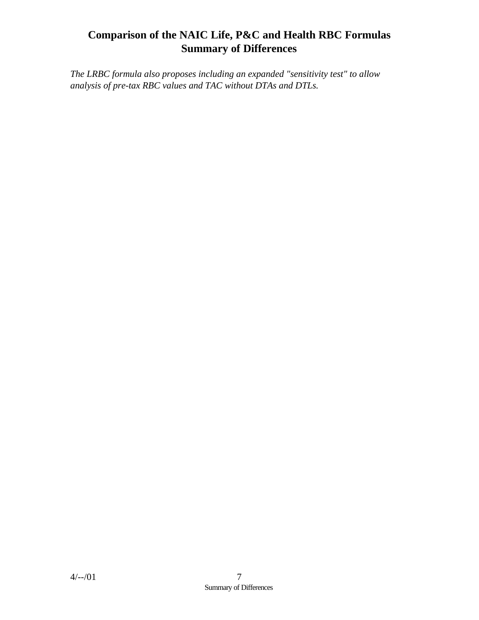*The LRBC formula also proposes including an expanded "sensitivity test" to allow analysis of pre-tax RBC values and TAC without DTAs and DTLs.*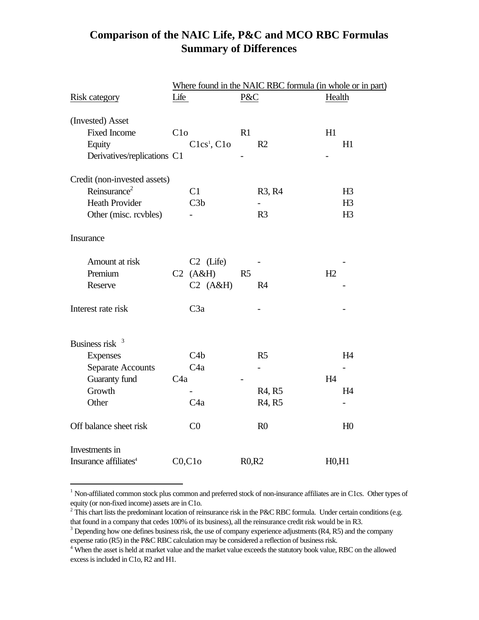|                                   |                 | Where found in the NAIC RBC formula (in whole or in part) |                |                                 |               |                |  |  |  |
|-----------------------------------|-----------------|-----------------------------------------------------------|----------------|---------------------------------|---------------|----------------|--|--|--|
| <b>Risk category</b>              | Life            |                                                           | $P\&C$         |                                 | <b>Health</b> |                |  |  |  |
| (Invested) Asset                  |                 |                                                           |                |                                 |               |                |  |  |  |
| <b>Fixed Income</b>               | C1 <sub>o</sub> |                                                           | R1             |                                 | H1            |                |  |  |  |
| Equity                            |                 | Clcs <sup>1</sup> , Clo                                   |                | R <sub>2</sub>                  |               | H1             |  |  |  |
| Derivatives/replications C1       |                 |                                                           |                |                                 |               |                |  |  |  |
| Credit (non-invested assets)      |                 |                                                           |                |                                 |               |                |  |  |  |
| Reinsurance <sup>2</sup>          |                 | C1                                                        |                | R3, R4                          |               | H3             |  |  |  |
| <b>Heath Provider</b>             |                 | C3b                                                       |                |                                 |               | H <sub>3</sub> |  |  |  |
| Other (misc. rcvbles)             |                 |                                                           |                | R <sub>3</sub>                  |               | H <sub>3</sub> |  |  |  |
| <b>Insurance</b>                  |                 |                                                           |                |                                 |               |                |  |  |  |
| Amount at risk                    |                 | $C2$ (Life)                                               |                |                                 |               |                |  |  |  |
| Premium                           |                 | $C2$ (A&H)                                                | R <sub>5</sub> |                                 | H2            |                |  |  |  |
| Reserve                           |                 | $C2$ (A&H)                                                |                | R <sub>4</sub>                  |               |                |  |  |  |
| Interest rate risk                |                 | C3a                                                       |                |                                 |               |                |  |  |  |
| Business risk $3$                 |                 |                                                           |                |                                 |               |                |  |  |  |
| <b>Expenses</b>                   |                 | C4b                                                       |                | R <sub>5</sub>                  |               | H4             |  |  |  |
| <b>Separate Accounts</b>          |                 | C <sub>4</sub> a                                          |                |                                 |               |                |  |  |  |
| Guaranty fund                     | C4a             |                                                           |                |                                 | H4            |                |  |  |  |
| Growth                            |                 |                                                           |                | R <sub>4</sub> , R <sub>5</sub> |               | H <sub>4</sub> |  |  |  |
| Other                             |                 | C <sub>4a</sub>                                           |                | R <sub>4</sub> , R <sub>5</sub> |               |                |  |  |  |
| Off balance sheet risk            |                 | C <sub>0</sub>                                            |                | R <sub>0</sub>                  |               | H <sub>0</sub> |  |  |  |
| Investments in                    |                 |                                                           |                |                                 |               |                |  |  |  |
| Insurance affiliates <sup>4</sup> |                 | C0, C10                                                   | R0,R2          |                                 | H0, H1        |                |  |  |  |

<sup>&</sup>lt;sup>1</sup> Non-affiliated common stock plus common and preferred stock of non-insurance affiliates are in C1cs. Other types of equity (or non-fixed income) assets are in C1o.

<sup>&</sup>lt;sup>2</sup> This chart lists the predominant location of reinsurance risk in the P&C RBC formula. Under certain conditions (e.g. that found in a company that cedes 100% of its business), all the reinsurance credit risk would be in R3.

 $3$  Depending how one defines business risk, the use of company experience adjustments (R4, R5) and the company expense ratio (R5) in the P&C RBC calculation may be considered a reflection of business risk.

<sup>&</sup>lt;sup>4</sup> When the asset is held at market value and the market value exceeds the statutory book value, RBC on the allowed excess is included in C1o, R2 and H1.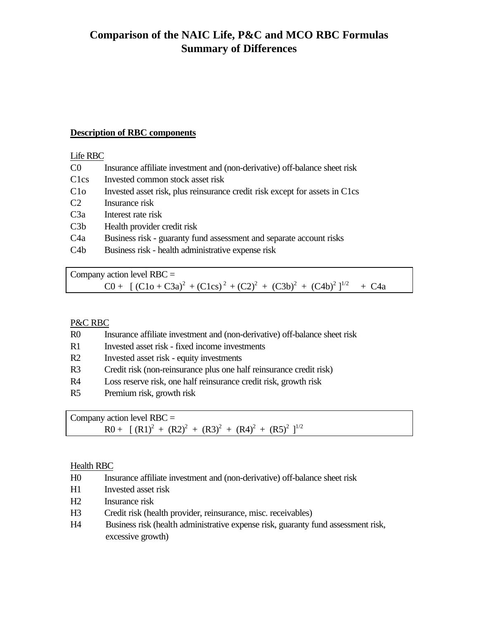#### **Description of RBC components**

#### Life RBC

- C0 Insurance affiliate investment and (non-derivative) off-balance sheet risk
- C1cs Invested common stock asset risk
- C1o Invested asset risk, plus reinsurance credit risk except for assets in C1cs
- C2 Insurance risk
- C3a Interest rate risk
- C3b Health provider credit risk
- C4a Business risk guaranty fund assessment and separate account risks
- C4b Business risk health administrative expense risk

Company action level  $RBC =$  $C0+[(C1o+C3a)^{2}+(C1cs)^{2}+(C2)^{2}+(C3b)^{2}+(C4b)^{2}]^{1/2} + C4a$ 

#### P&C RBC

- R0 Insurance affiliate investment and (non-derivative) off-balance sheet risk
- R1 Invested asset risk fixed income investments
- R2 Invested asset risk equity investments
- R3 Credit risk (non-reinsurance plus one half reinsurance credit risk)
- R4 Loss reserve risk, one half reinsurance credit risk, growth risk
- R5 Premium risk, growth risk

Company action level  $RBC =$  $R0 + [ (R1)<sup>2</sup> + (R2)<sup>2</sup> + (R3)<sup>2</sup> + (R4)<sup>2</sup> + (R5)<sup>2</sup> ]<sup>1/2</sup>$ 

#### Health RBC

- H0 Insurance affiliate investment and (non-derivative) off-balance sheet risk
- H1 Invested asset risk
- H2 Insurance risk
- H3 Credit risk (health provider, reinsurance, misc. receivables)
- H4 Business risk (health administrative expense risk, guaranty fund assessment risk, excessive growth)